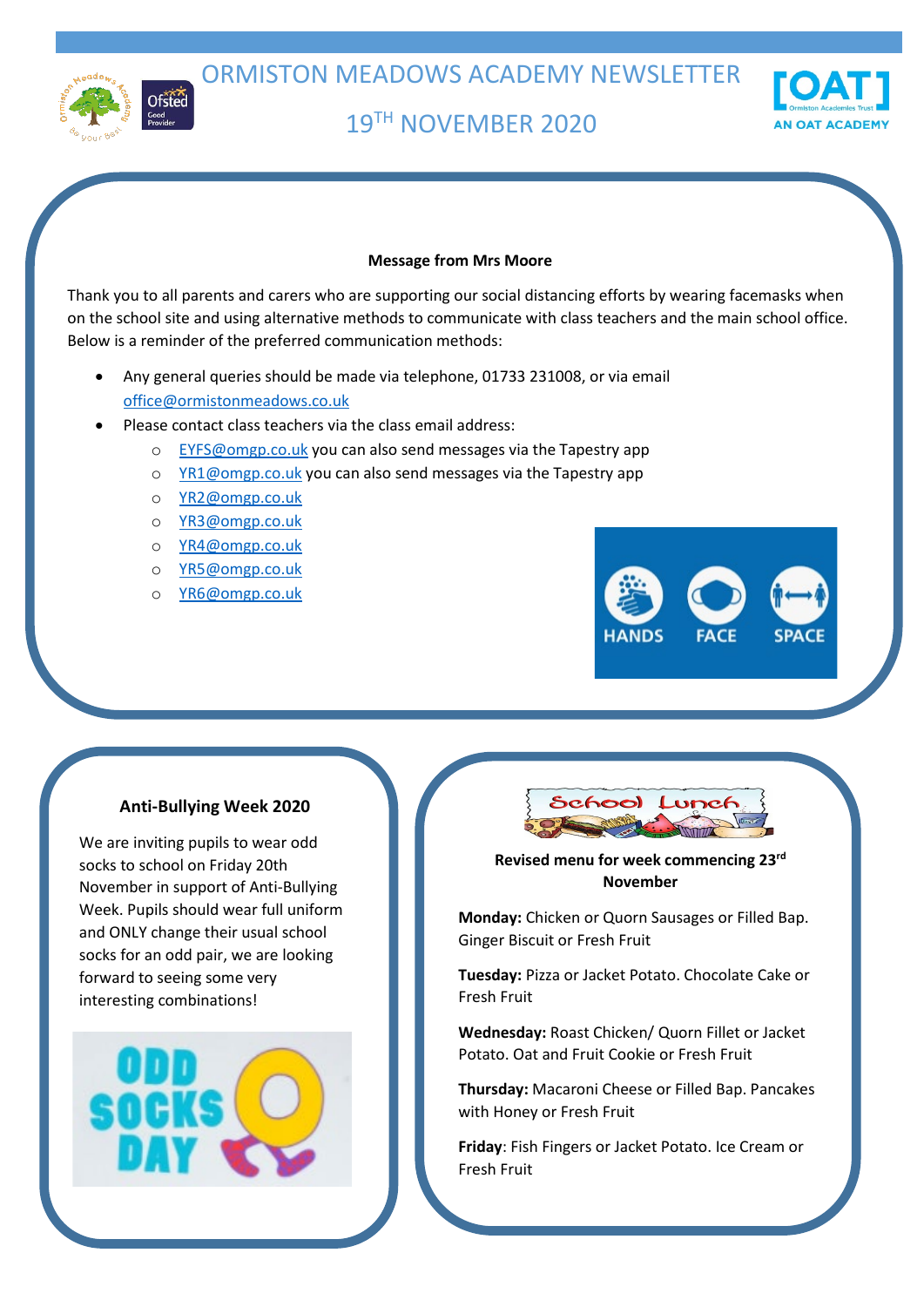

ORMISTON MEADOWS ACADEMY NEWSLETTER

19TH NOVEMBER 2020



#### **Message from Mrs Moore**

Thank you to all parents and carers who are supporting our social distancing efforts by wearing facemasks when on the school site and using alternative methods to communicate with class teachers and the main school office. Below is a reminder of the preferred communication methods:

- Any general queries should be made via telephone, 01733 231008, or via email [office@ormistonmeadows.co.uk](mailto:office@ormistonmeadows.co.uk)
- Please contact class teachers via the class email address:
	- o [EYFS@omgp.co.uk](mailto:EYFS@omgp.co.uk) you can also send messages via the Tapestry app
	- o [YR1@omgp.co.uk](mailto:YR1@omgp.co.uk) you can also send messages via the Tapestry app
	- o [YR2@omgp.co.uk](mailto:YR2@omgp.co.uk)
	- o [YR3@omgp.co.uk](mailto:YR3@omgp.co.uk)
	- o [YR4@omgp.co.uk](mailto:YR4@omgp.co.uk)
	- o [YR5@omgp.co.uk](mailto:YR5@omgp.co.uk)
	- o [YR6@omgp.co.uk](mailto:YR6@omgp.co.uk)



### **Anti-Bullying Week 2020**

We are inviting pupils to wear odd socks to school on Friday 20th November in support of Anti-Bullying Week. Pupils should wear full uniform and ONLY change their usual school socks for an odd pair, we are looking forward to seeing some very interesting combinations!





## **Revised menu for week commencing 23rd November**

**Monday:** Chicken or Quorn Sausages or Filled Bap. Ginger Biscuit or Fresh Fruit

**Tuesday:** Pizza or Jacket Potato. Chocolate Cake or Fresh Fruit

**Wednesday:** Roast Chicken/ Quorn Fillet or Jacket Potato. Oat and Fruit Cookie or Fresh Fruit

**Thursday:** Macaroni Cheese or Filled Bap. Pancakes with Honey or Fresh Fruit

**Friday**: Fish Fingers or Jacket Potato. Ice Cream or Fresh Fruit